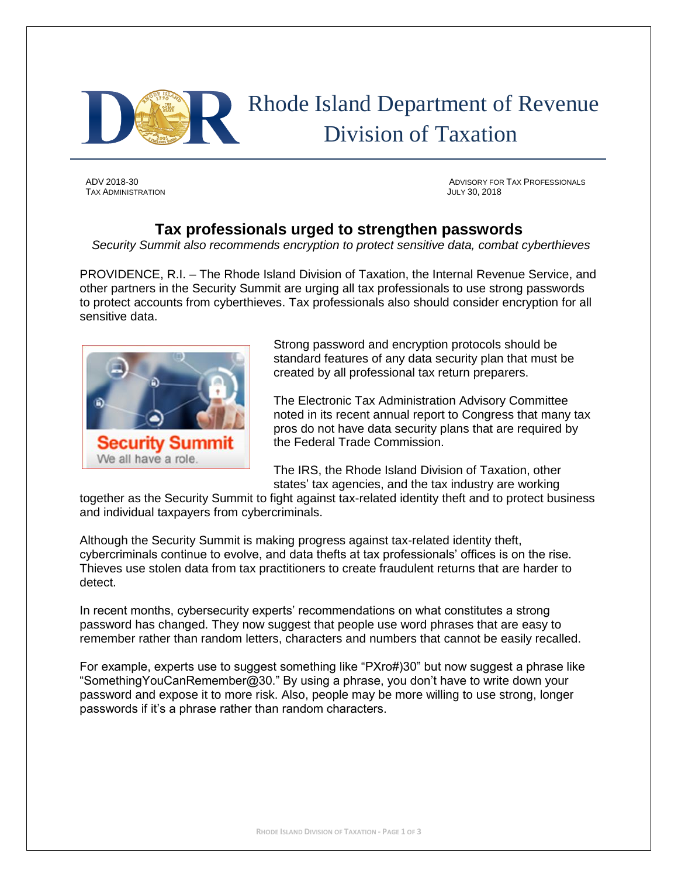

# Rhode Island Department of Revenue Division of Taxation

TAX ADMINISTRATION JULY 30, 2018

ADV 2018-30 ADVISORY FOR TAX PROFESSIONALS

## **Tax professionals urged to strengthen passwords**

*Security Summit also recommends encryption to protect sensitive data, combat cyberthieves*

PROVIDENCE, R.I. – The Rhode Island Division of Taxation, the Internal Revenue Service, and other partners in the Security Summit are urging all tax professionals to use strong passwords to protect accounts from cyberthieves. Tax professionals also should consider encryption for all sensitive data.



Strong password and encryption protocols should be standard features of any data security plan that must be created by all professional tax return preparers.

The Electronic Tax Administration Advisory Committee noted in its recent annual report to Congress that many tax pros do not have data security plans that are required by the Federal Trade Commission.

The IRS, the Rhode Island Division of Taxation, other states' tax agencies, and the tax industry are working

together as the Security Summit to fight against tax-related identity theft and to protect business and individual taxpayers from cybercriminals.

Although the Security Summit is making progress against tax-related identity theft, cybercriminals continue to evolve, and data thefts at tax professionals' offices is on the rise. Thieves use stolen data from tax practitioners to create fraudulent returns that are harder to detect.

In recent months, cybersecurity experts' recommendations on what constitutes a strong password has changed. They now suggest that people use word phrases that are easy to remember rather than random letters, characters and numbers that cannot be easily recalled.

For example, experts use to suggest something like "PXro#)30" but now suggest a phrase like "SomethingYouCanRemember@30." By using a phrase, you don't have to write down your password and expose it to more risk. Also, people may be more willing to use strong, longer passwords if it's a phrase rather than random characters.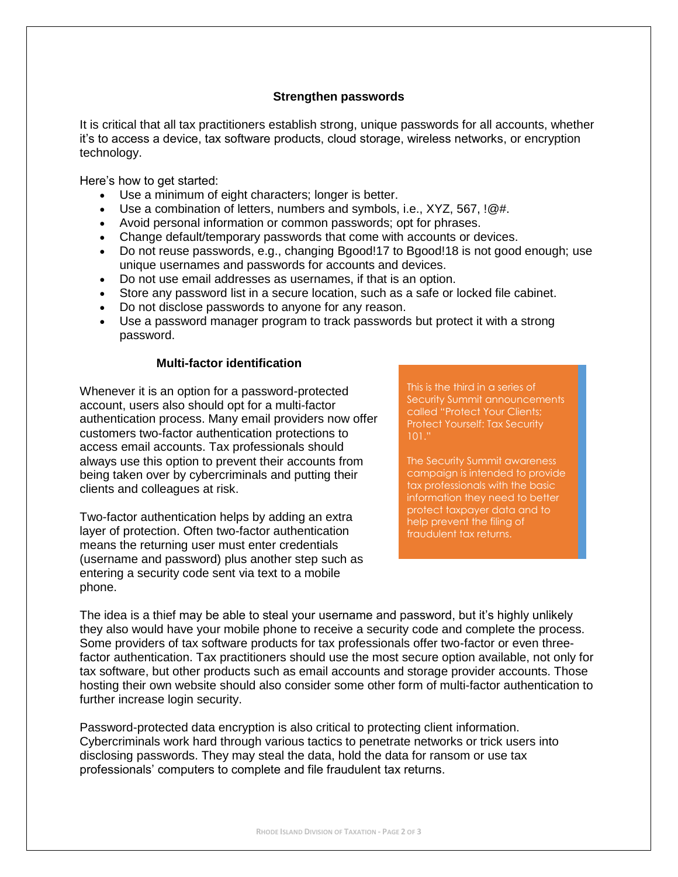### **Strengthen passwords**

It is critical that all tax practitioners establish strong, unique passwords for all accounts, whether it's to access a device, tax software products, cloud storage, wireless networks, or encryption technology.

Here's how to get started:

- Use a minimum of eight characters; longer is better.
- Use a combination of letters, numbers and symbols, i.e.,  $XYZ$ ,  $567$ ,  $1@#$ .
- Avoid personal information or common passwords; opt for phrases.
- Change default/temporary passwords that come with accounts or devices.
- Do not reuse passwords, e.g., changing Bgood!17 to Bgood!18 is not good enough; use unique usernames and passwords for accounts and devices.
- Do not use email addresses as usernames, if that is an option.
- Store any password list in a secure location, such as a safe or locked file cabinet.
- Do not disclose passwords to anyone for any reason.
- Use a password manager program to track passwords but protect it with a strong password.

#### **Multi-factor identification**

Whenever it is an option for a password-protected account, users also should opt for a multi-factor authentication process. Many email providers now offer customers two-factor authentication protections to access email accounts. Tax professionals should always use this option to prevent their accounts from being taken over by cybercriminals and putting their clients and colleagues at risk.

Two-factor authentication helps by adding an extra layer of protection. Often two-factor authentication means the returning user must enter credentials (username and password) plus another step such as entering a security code sent via text to a mobile phone.

This is the third in a series of Security Summit announcements called "Protect Your Clients; Protect Yourself: Tax Security 101."

The Security Summit awareness campaign is intended to provide tax professionals with the basic information they need to better protect taxpayer data and to help prevent the filing of fraudulent tax returns.

The idea is a thief may be able to steal your username and password, but it's highly unlikely they also would have your mobile phone to receive a security code and complete the process. Some providers of tax software products for tax professionals offer two-factor or even threefactor authentication. Tax practitioners should use the most secure option available, not only for tax software, but other products such as email accounts and storage provider accounts. Those hosting their own website should also consider some other form of multi-factor authentication to further increase login security.

Password-protected data encryption is also critical to protecting client information. Cybercriminals work hard through various tactics to penetrate networks or trick users into disclosing passwords. They may steal the data, hold the data for ransom or use tax professionals' computers to complete and file fraudulent tax returns.